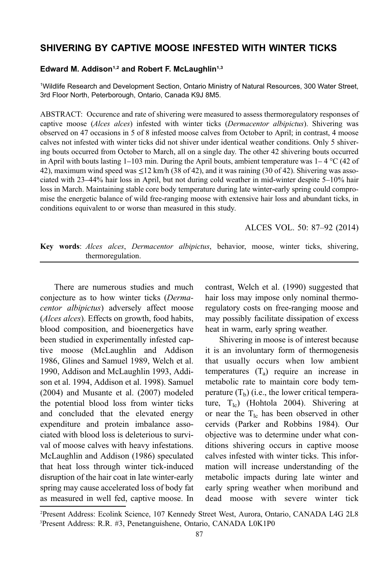# SHIVERING BY CAPTIVE MOOSE INFESTED WITH WINTER TICKS

## Edward M. Addison<sup>1,2</sup> and Robert F. McLaughlin<sup>1,3</sup>

1 Wildlife Research and Development Section, Ontario Ministry of Natural Resources, 300 Water Street, 3rd Floor North, Peterborough, Ontario, Canada K9J 8M5.

ABSTRACT: Occurence and rate of shivering were measured to assess thermoregulatory responses of captive moose (Alces alces) infested with winter ticks (Dermacentor albipictus). Shivering was observed on 47 occasions in 5 of 8 infested moose calves from October to April; in contrast, 4 moose calves not infested with winter ticks did not shiver under identical weather conditions. Only 5 shivering bouts occurred from October to March, all on a single day. The other 42 shivering bouts occurred in April with bouts lasting  $1-103$  min. During the April bouts, ambient temperature was  $1-4$  °C (42 of 42), maximum wind speed was  $\leq$ 12 km/h (38 of 42), and it was raining (30 of 42). Shivering was associated with 23–44% hair loss in April, but not during cold weather in mid-winter despite 5–10% hair loss in March. Maintaining stable core body temperature during late winter-early spring could compromise the energetic balance of wild free-ranging moose with extensive hair loss and abundant ticks, in conditions equivalent to or worse than measured in this study.

ALCES VOL. 50: 87–92 (2014)

Key words: Alces alces, Dermacentor albipictus, behavior, moose, winter ticks, shivering, thermoregulation.

There are numerous studies and much conjecture as to how winter ticks (Dermacentor albipictus) adversely affect moose (Alces alces). Effects on growth, food habits, blood composition, and bioenergetics have been studied in experimentally infested captive moose (McLaughlin and Addison 1986, Glines and Samuel 1989, Welch et al. 1990, Addison and McLaughlin 1993, Addison et al. 1994, Addison et al. 1998). Samuel (2004) and Musante et al. (2007) modeled the potential blood loss from winter ticks and concluded that the elevated energy expenditure and protein imbalance associated with blood loss is deleterious to survival of moose calves with heavy infestations. McLaughlin and Addison (1986) speculated that heat loss through winter tick-induced disruption of the hair coat in late winter-early spring may cause accelerated loss of body fat as measured in well fed, captive moose. In

contrast, Welch et al. (1990) suggested that hair loss may impose only nominal thermoregulatory costs on free-ranging moose and may possibly facilitate dissipation of excess heat in warm, early spring weather.

Shivering in moose is of interest because it is an involuntary form of thermogenesis that usually occurs when low ambient temperatures  $(T_a)$  require an increase in metabolic rate to maintain core body temperature  $(T_b)$  (i.e., the lower critical temperature,  $T_{1c}$ ) (Hohtola 2004). Shivering at or near the  $T_{1c}$  has been observed in other cervids (Parker and Robbins 1984). Our objective was to determine under what conditions shivering occurs in captive moose calves infested with winter ticks. This information will increase understanding of the metabolic impacts during late winter and early spring weather when moribund and dead moose with severe winter tick

<sup>2</sup> Present Address: Ecolink Science, 107 Kennedy Street West, Aurora, Ontario, CANADA L4G 2L8 3 Present Address: R.R. #3, Penetanguishene, Ontario, CANADA L0K1P0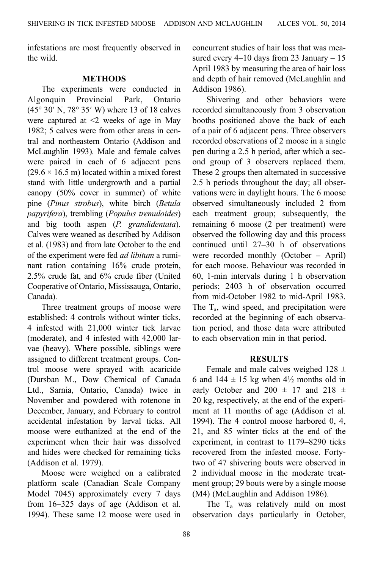infestations are most frequently observed in the wild.

### METHODS

The experiments were conducted in Algonquin Provincial Park, Ontario (45° 30′ N, 78° 35′ W) where 13 of 18 calves were captured at <2 weeks of age in May 1982; 5 calves were from other areas in central and northeastern Ontario (Addison and McLaughlin 1993). Male and female calves were paired in each of 6 adjacent pens  $(29.6 \times 16.5 \text{ m})$  located within a mixed forest stand with little undergrowth and a partial canopy (50% cover in summer) of white pine (Pinus strobus), white birch (Betula papyrifera), trembling (Populus tremuloides) and big tooth aspen (P. grandidentata). Calves were weaned as described by Addison et al. (1983) and from late October to the end of the experiment were fed ad libitum a ruminant ration containing 16% crude protein, 2.5% crude fat, and 6% crude fiber (United Cooperative of Ontario, Mississauga, Ontario, Canada).

Three treatment groups of moose were established: 4 controls without winter ticks, 4 infested with 21,000 winter tick larvae (moderate), and 4 infested with 42,000 larvae (heavy). Where possible, siblings were assigned to different treatment groups. Control moose were sprayed with acaricide (Dursban M., Dow Chemical of Canada Ltd., Sarnia, Ontario, Canada) twice in November and powdered with rotenone in December, January, and February to control accidental infestation by larval ticks. All moose were euthanized at the end of the experiment when their hair was dissolved and hides were checked for remaining ticks (Addison et al. 1979).

Moose were weighed on a calibrated platform scale (Canadian Scale Company Model 7045) approximately every 7 days from 16–325 days of age (Addison et al. 1994). These same 12 moose were used in

concurrent studies of hair loss that was measured every  $4-10$  days from 23 January  $-15$ April 1983 by measuring the area of hair loss and depth of hair removed (McLaughlin and Addison 1986).

Shivering and other behaviors were recorded simultaneously from 3 observation booths positioned above the back of each of a pair of 6 adjacent pens. Three observers recorded observations of 2 moose in a single pen during a 2.5 h period, after which a second group of 3 observers replaced them. These 2 groups then alternated in successive 2.5 h periods throughout the day; all observations were in daylight hours. The 6 moose observed simultaneously included 2 from each treatment group; subsequently, the remaining 6 moose (2 per treatment) were observed the following day and this process continued until 27–30 h of observations were recorded monthly (October – April) for each moose. Behaviour was recorded in 60, 1-min intervals during 1 h observation periods; 2403 h of observation occurred from mid-October 1982 to mid-April 1983. The  $T_a$ , wind speed, and precipitation were recorded at the beginning of each observation period, and those data were attributed to each observation min in that period.

#### RESULTS

Female and male calves weighed  $128 \pm$ 6 and 144  $\pm$  15 kg when 4½ months old in early October and 200  $\pm$  17 and 218  $\pm$ 20 kg, respectively, at the end of the experiment at 11 months of age (Addison et al. 1994). The 4 control moose harbored 0, 4, 21, and 85 winter ticks at the end of the experiment, in contrast to 1179–8290 ticks recovered from the infested moose. Fortytwo of 47 shivering bouts were observed in 2 individual moose in the moderate treatment group; 29 bouts were by a single moose (M4) (McLaughlin and Addison 1986).

The  $T_a$  was relatively mild on most observation days particularly in October,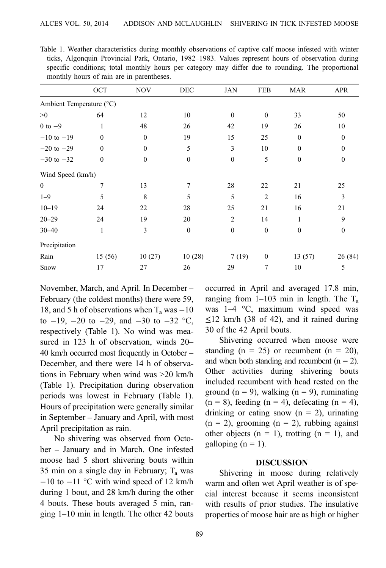|                          | OCT              | <b>NOV</b>       | DEC              | JAN            | <b>FEB</b>     | <b>MAR</b>   | <b>APR</b>   |
|--------------------------|------------------|------------------|------------------|----------------|----------------|--------------|--------------|
| Ambient Temperature (°C) |                  |                  |                  |                |                |              |              |
| >0                       | 64               | 12               | 10               | $\mathbf{0}$   | $\mathbf{0}$   | 33           | 50           |
| $0$ to $-9$              | 1                | 48               | 26               | 42             | 19             | 26           | 10           |
| $-10$ to $-19$           | $\mathbf{0}$     | $\mathbf{0}$     | 19               | 15             | 25             | $\mathbf{0}$ | $\mathbf{0}$ |
| $-20$ to $-29$           | $\boldsymbol{0}$ | $\boldsymbol{0}$ | 5                | 3              | 10             | $\mathbf{0}$ | $\mathbf{0}$ |
| $-30$ to $-32$           | $\mathbf{0}$     | $\mathbf{0}$     | $\mathbf{0}$     | $\mathbf{0}$   | 5              | $\theta$     | $\mathbf{0}$ |
| Wind Speed (km/h)        |                  |                  |                  |                |                |              |              |
| $\bf{0}$                 | 7                | 13               | 7                | 28             | 22             | 21           | 25           |
| $1 - 9$                  | 5                | 8                | 5                | 5              | $\overline{2}$ | 16           | 3            |
| $10 - 19$                | 24               | 22               | 28               | 25             | 21             | 16           | 21           |
| $20 - 29$                | 24               | 19               | 20               | $\overline{2}$ | 14             | 1            | 9            |
| $30 - 40$                | $\mathbf{1}$     | $\mathfrak{Z}$   | $\boldsymbol{0}$ | $\mathbf{0}$   | $\mathbf{0}$   | $\mathbf{0}$ | $\mathbf{0}$ |
| Precipitation            |                  |                  |                  |                |                |              |              |
| Rain                     | 15(56)           | 10(27)           | 10(28)           | 7(19)          | $\mathbf{0}$   | 13(57)       | 26 (84)      |
| Snow                     | 17               | 27               | 26               | 29             | 7              | 10           | 5            |

<span id="page-2-0"></span>Table 1. Weather characteristics during monthly observations of captive calf moose infested with winter ticks, Algonquin Provincial Park, Ontario, 1982–1983. Values represent hours of observation during specific conditions; total monthly hours per category may differ due to rounding. The proportional monthly hours of rain are in parentheses.

November, March, and April. In December – February (the coldest months) there were 59, 18, and 5 h of observations when  $T_a$  was  $-10$ to  $-19$ ,  $-20$  to  $-29$ , and  $-30$  to  $-32$  °C, respectively (Table 1). No wind was measured in 123 h of observation, winds 20– 40 km/h occurred most frequently in October – December, and there were 14 h of observations in February when wind was >20 km/h (Table 1). Precipitation during observation periods was lowest in February (Table 1). Hours of precipitation were generally similar in September – January and April, with most April precipitation as rain.

No shivering was observed from October – January and in March. One infested moose had 5 short shivering bouts within 35 min on a single day in February;  $T_a$  was −10 to −11 °C with wind speed of 12 km/h during 1 bout, and 28 km/h during the other 4 bouts. These bouts averaged 5 min, ranging 1–10 min in length. The other 42 bouts occurred in April and averaged 17.8 min, ranging from  $1-103$  min in length. The  $T_a$ was 1–4 °C, maximum wind speed was  $\leq$ 12 km/h (38 of 42), and it rained during 30 of the 42 April bouts.

Shivering occurred when moose were standing  $(n = 25)$  or recumbent  $(n = 20)$ , and when both standing and recumbent  $(n = 2)$ . Other activities during shivering bouts included recumbent with head rested on the ground ( $n = 9$ ), walking ( $n = 9$ ), ruminating  $(n = 8)$ , feeding  $(n = 4)$ , defecating  $(n = 4)$ , drinking or eating snow  $(n = 2)$ , urinating  $(n = 2)$ , grooming  $(n = 2)$ , rubbing against other objects  $(n = 1)$ , trotting  $(n = 1)$ , and galloping  $(n = 1)$ .

#### DISCUSSION

Shivering in moose during relatively warm and often wet April weather is of special interest because it seems inconsistent with results of prior studies. The insulative properties of moose hair are as high or higher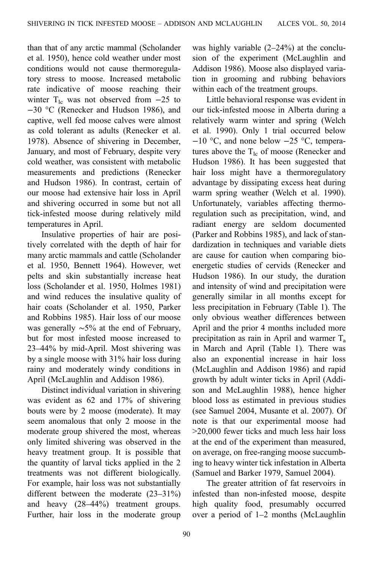than that of any arctic mammal (Scholander et al. 1950), hence cold weather under most conditions would not cause thermoregulatory stress to moose. Increased metabolic rate indicative of moose reaching their winter T<sub>lc</sub> was not observed from  $-25$  to −30 °C (Renecker and Hudson 1986), and captive, well fed moose calves were almost as cold tolerant as adults (Renecker et al. 1978). Absence of shivering in December, January, and most of February, despite very cold weather, was consistent with metabolic measurements and predictions (Renecker and Hudson 1986). In contrast, certain of our moose had extensive hair loss in April and shivering occurred in some but not all tick-infested moose during relatively mild temperatures in April.

Insulative properties of hair are positively correlated with the depth of hair for many arctic mammals and cattle (Scholander et al. 1950, Bennett 1964). However, wet pelts and skin substantially increase heat loss (Scholander et al. 1950, Holmes 1981) and wind reduces the insulative quality of hair coats (Scholander et al. 1950, Parker and Robbins 1985). Hair loss of our moose was generally ∼5% at the end of February, but for most infested moose increased to 23–44% by mid-April. Most shivering was by a single moose with 31% hair loss during rainy and moderately windy conditions in April (McLaughlin and Addison 1986).

Distinct individual variation in shivering was evident as 62 and 17% of shivering bouts were by 2 moose (moderate). It may seem anomalous that only 2 moose in the moderate group shivered the most, whereas only limited shivering was observed in the heavy treatment group. It is possible that the quantity of larval ticks applied in the 2 treatments was not different biologically. For example, hair loss was not substantially different between the moderate (23–31%) and heavy (28–44%) treatment groups. Further, hair loss in the moderate group was highly variable (2–24%) at the conclusion of the experiment (McLaughlin and Addison 1986). Moose also displayed variation in grooming and rubbing behaviors within each of the treatment groups.

Little behavioral response was evident in our tick-infested moose in Alberta during a relatively warm winter and spring (Welch et al. 1990). Only 1 trial occurred below −10 °C, and none below −25 °C, temperatures above the  $T_{\text{lc}}$  of moose (Renecker and Hudson 1986). It has been suggested that hair loss might have a thermoregulatory advantage by dissipating excess heat during warm spring weather (Welch et al. 1990). Unfortunately, variables affecting thermo‐ regulation such as precipitation, wind, and radiant energy are seldom documented (Parker and Robbins 1985), and lack of standardization in techniques and variable diets are cause for caution when comparing bio‐ energetic studies of cervids (Renecker and Hudson 1986). In our study, the duration and intensity of wind and precipitation were generally similar in all months except for less precipitation in February ([Table 1\)](#page-2-0). The only obvious weather differences between April and the prior 4 months included more precipitation as rain in April and warmer  $T_a$ in March and April [\(Table 1](#page-2-0)). There was also an exponential increase in hair loss (McLaughlin and Addison 1986) and rapid growth by adult winter ticks in April (Addison and McLaughlin 1988), hence higher blood loss as estimated in previous studies (see Samuel 2004, Musante et al. 2007). Of note is that our experimental moose had >20,000 fewer ticks and much less hair loss at the end of the experiment than measured, on average, on free-ranging moose succumbing to heavy winter tick infestation in Alberta (Samuel and Barker 1979, Samuel 2004).

The greater attrition of fat reservoirs in infested than non-infested moose, despite high quality food, presumably occurred over a period of 1–2 months (McLaughlin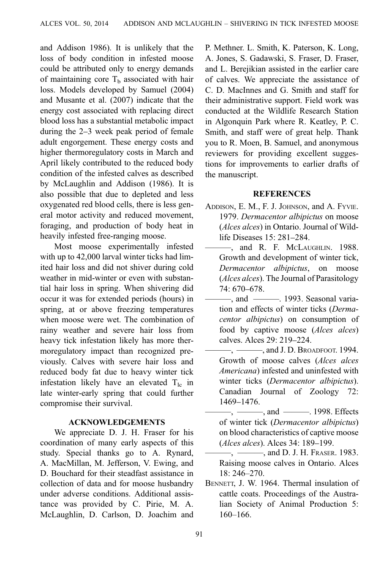and Addison 1986). It is unlikely that the loss of body condition in infested moose could be attributed only to energy demands of maintaining core  $T<sub>b</sub>$  associated with hair loss. Models developed by Samuel (2004) and Musante et al. (2007) indicate that the energy cost associated with replacing direct blood loss has a substantial metabolic impact during the 2–3 week peak period of female adult engorgement. These energy costs and higher thermoregulatory costs in March and April likely contributed to the reduced body condition of the infested calves as described by McLaughlin and Addison (1986). It is also possible that due to depleted and less oxygenated red blood cells, there is less general motor activity and reduced movement, foraging, and production of body heat in heavily infested free-ranging moose.

Most moose experimentally infested with up to 42,000 larval winter ticks had limited hair loss and did not shiver during cold weather in mid-winter or even with substantial hair loss in spring. When shivering did occur it was for extended periods (hours) in spring, at or above freezing temperatures when moose were wet. The combination of rainy weather and severe hair loss from heavy tick infestation likely has more thermoregulatory impact than recognized previously. Calves with severe hair loss and reduced body fat due to heavy winter tick infestation likely have an elevated  $T_{\text{lc}}$  in late winter-early spring that could further compromise their survival.

#### ACKNOWLEDGEMENTS

We appreciate D. J. H. Fraser for his coordination of many early aspects of this study. Special thanks go to A. Rynard, A. MacMillan, M. Jefferson, V. Ewing, and D. Bouchard for their steadfast assistance in collection of data and for moose husbandry under adverse conditions. Additional assistance was provided by C. Pirie, M. A. McLaughlin, D. Carlson, D. Joachim and

P. Methner. L. Smith, K. Paterson, K. Long, A. Jones, S. Gadawski, S. Fraser, D. Fraser, and L. Berejikian assisted in the earlier care of calves. We appreciate the assistance of C. D. MacInnes and G. Smith and staff for their administrative support. Field work was conducted at the Wildlife Research Station in Algonquin Park where R. Keatley, P. C. Smith, and staff were of great help. Thank you to R. Moen, B. Samuel, and anonymous reviewers for providing excellent suggestions for improvements to earlier drafts of the manuscript.

#### **REFERENCES**

- ADDISON, E. M., F. J. JOHNSON, and A. FYVIE. 1979. Dermacentor albipictus on moose (Alces alces) in Ontario. Journal of Wildlife Diseases 15: 281–284.
- ———, and R. F. MCLAUGHLIN. 1988. Growth and development of winter tick, Dermacentor albipictus, on moose (Alces alces). The Journal of Parasitology 74: 670–678.
- $-$ , and  $-$ ——. 1993. Seasonal variation and effects of winter ticks (Dermacentor albipictus) on consumption of food by captive moose (Alces alces) calves. Alces 29: 219–224.
- $-$ ,  $-$ , and J. D. Broadfoot. 1994. Growth of moose calves (Alces alces Americana) infested and uninfested with winter ticks (Dermacentor albipictus). Canadian Journal of Zoology 72: 1469–1476.
	- ———, ———, and ———. 1998. Effects of winter tick (Dermacentor albipictus) on blood characteristics of captive moose (Alces alces). Alces 34: 189–199.
- $-$ ,  $-$ , and D. J. H. Fraser. 1983. Raising moose calves in Ontario. Alces 18: 246–270.
- BENNETT, J. W. 1964. Thermal insulation of cattle coats. Proceedings of the Australian Society of Animal Production 5: 160–166.